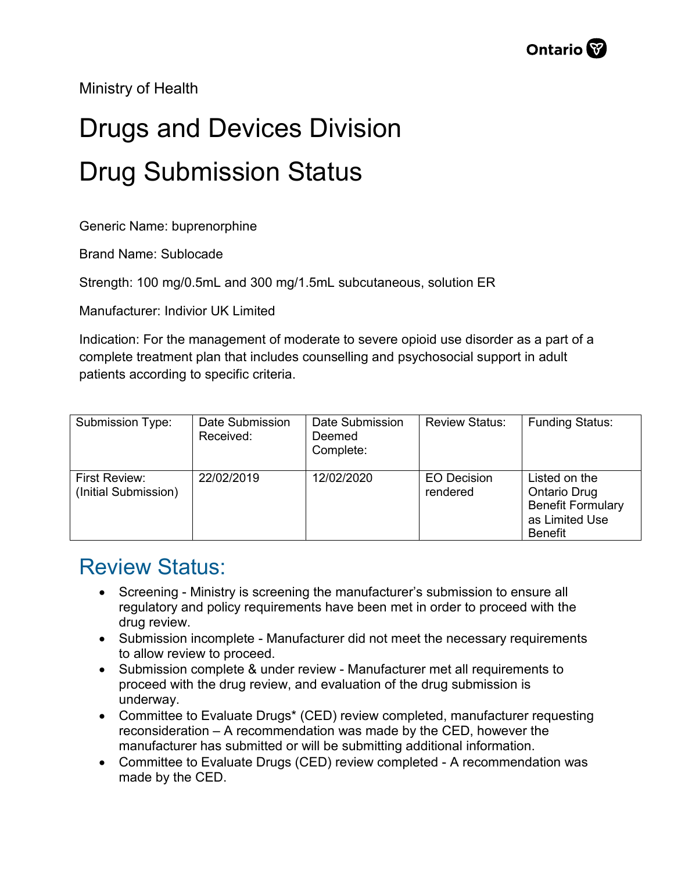Ministry of Health

## Drugs and Devices Division Drug Submission Status

Generic Name: buprenorphine

Brand Name: Sublocade

Strength: 100 mg/0.5mL and 300 mg/1.5mL subcutaneous, solution ER

Manufacturer: Indivior UK Limited

Indication: For the management of moderate to severe opioid use disorder as a part of a complete treatment plan that includes counselling and psychosocial support in adult patients according to specific criteria.

| Submission Type:                      | Date Submission<br>Received: | Date Submission<br>Deemed<br>Complete: | <b>Review Status:</b>          | <b>Funding Status:</b>                                                                        |
|---------------------------------------|------------------------------|----------------------------------------|--------------------------------|-----------------------------------------------------------------------------------------------|
| First Review:<br>(Initial Submission) | 22/02/2019                   | 12/02/2020                             | <b>EO Decision</b><br>rendered | Listed on the<br>Ontario Drug<br><b>Benefit Formulary</b><br>as Limited Use<br><b>Benefit</b> |

## Review Status:

- Screening Ministry is screening the manufacturer's submission to ensure all regulatory and policy requirements have been met in order to proceed with the drug review.
- Submission incomplete Manufacturer did not meet the necessary requirements to allow review to proceed.
- Submission complete & under review Manufacturer met all requirements to proceed with the drug review, and evaluation of the drug submission is underway.
- Committee to Evaluate Drugs\* (CED) review completed, manufacturer requesting reconsideration – A recommendation was made by the CED, however the manufacturer has submitted or will be submitting additional information.
- Committee to Evaluate Drugs (CED) review completed A recommendation was made by the CED.